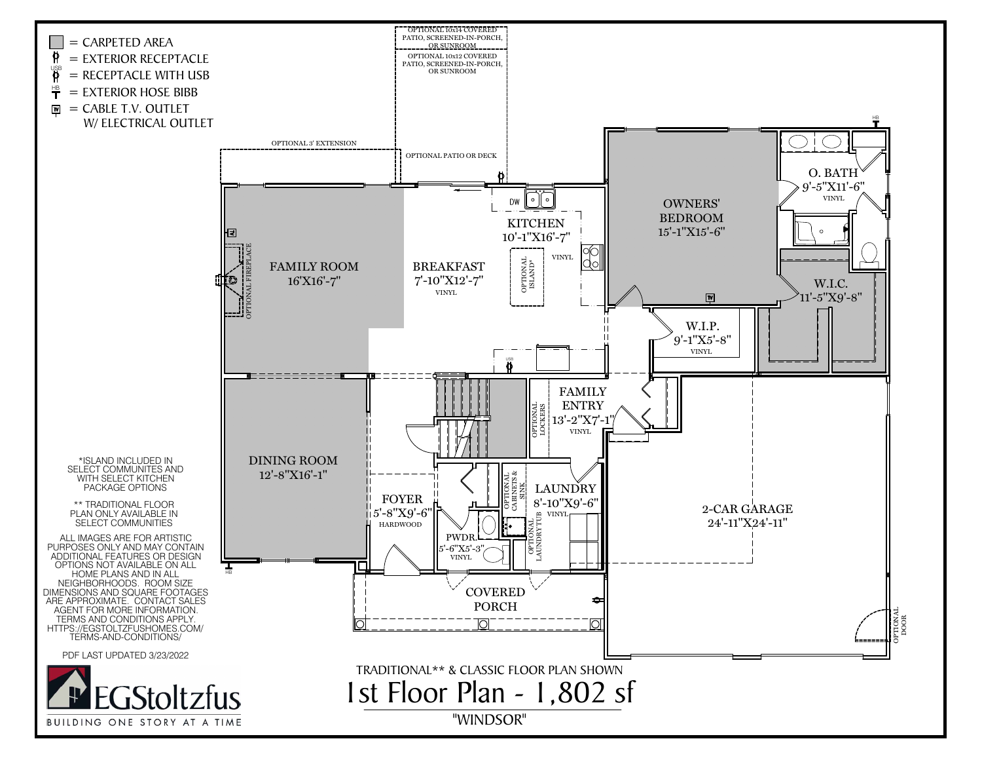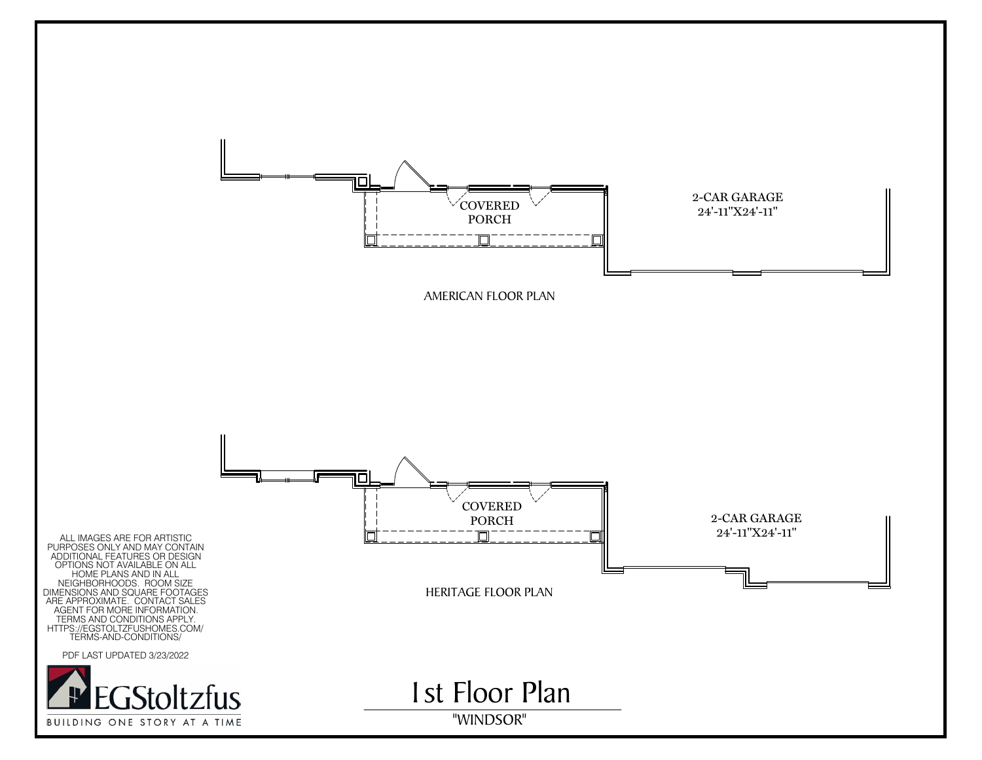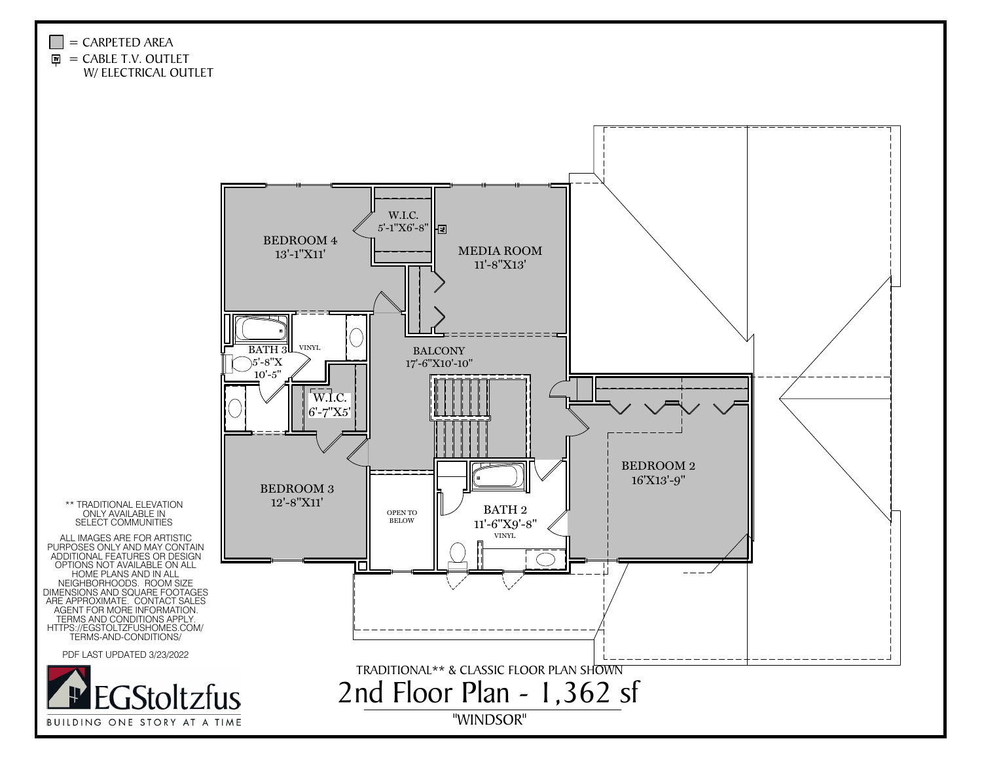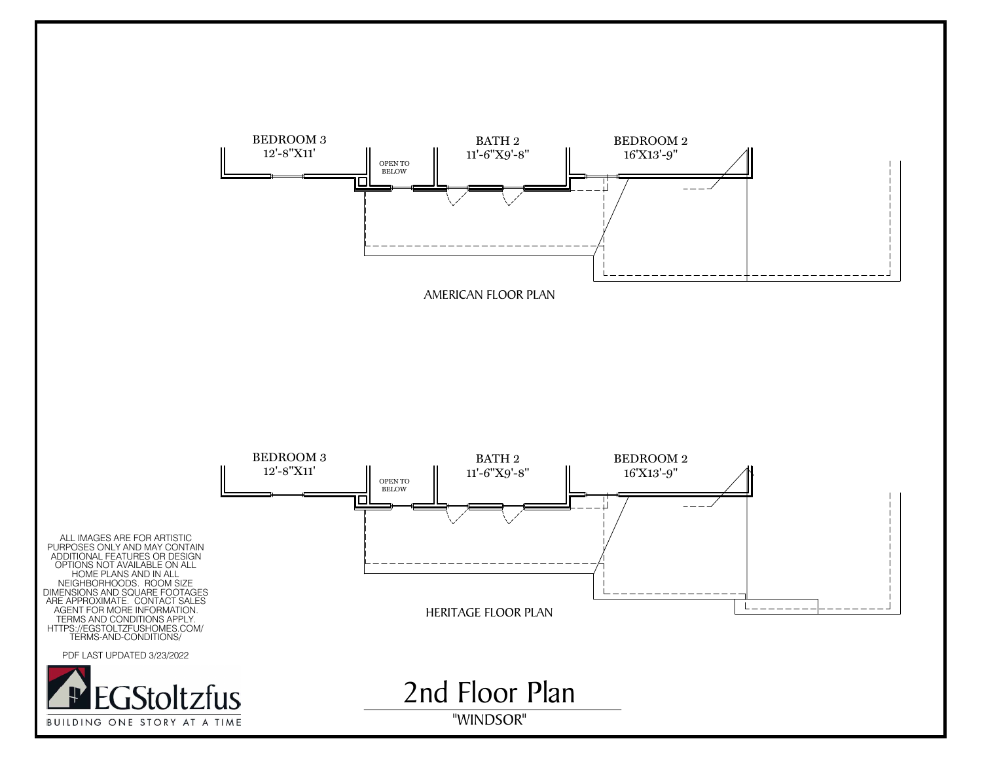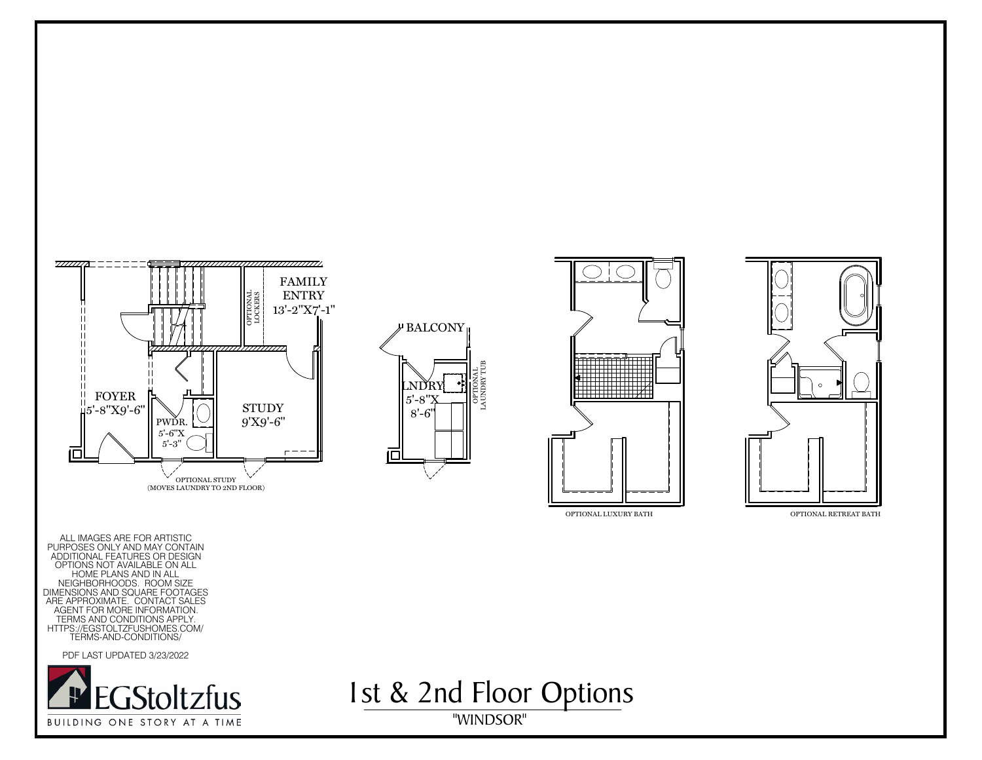

OPTIONALLAUNDRY TUB $\begin{array}{c}\n\text{NNRY} \\
\hline\n5'-8''\text{X} \\
8'-6''\n\end{array}$  $5'$ -8" $X$ <br>8'-6"





OPTIONAL RETREAT BATH

PURPOSES ONLY AND MAY CONTAINS TO THE READER ONLY AND MAY CONTAIN<br>
THE PLAT WAS CONTAINED ON BALL<br>
THE PLAT WAS CONTAINED ON ALL<br>
THE PLAT WAS SOON SCOTTING TO THE PLAT ON THE PLAT ON THE PROGRAM CONTACT SALES<br>
ARE APPROVI



I st & 2nd Floor Options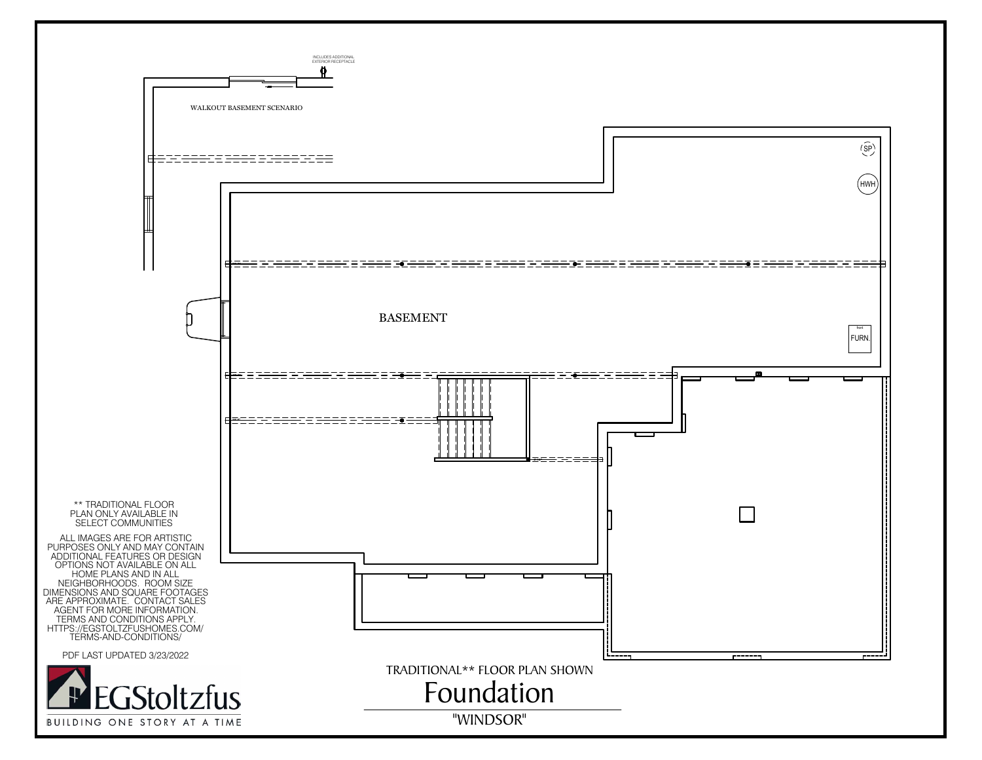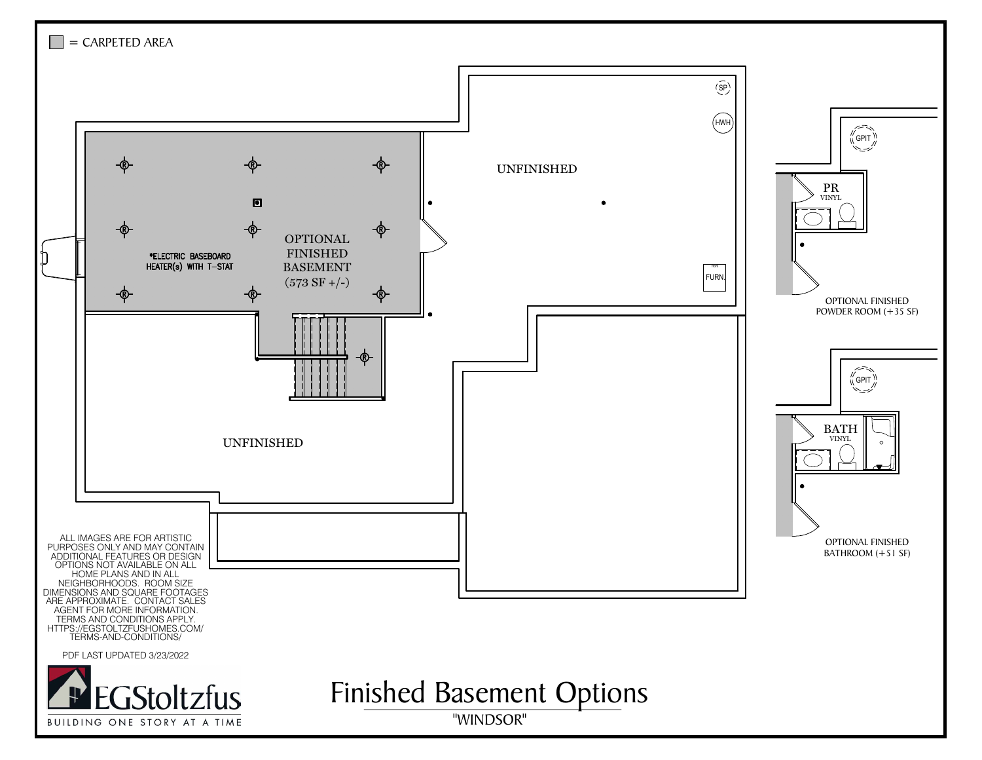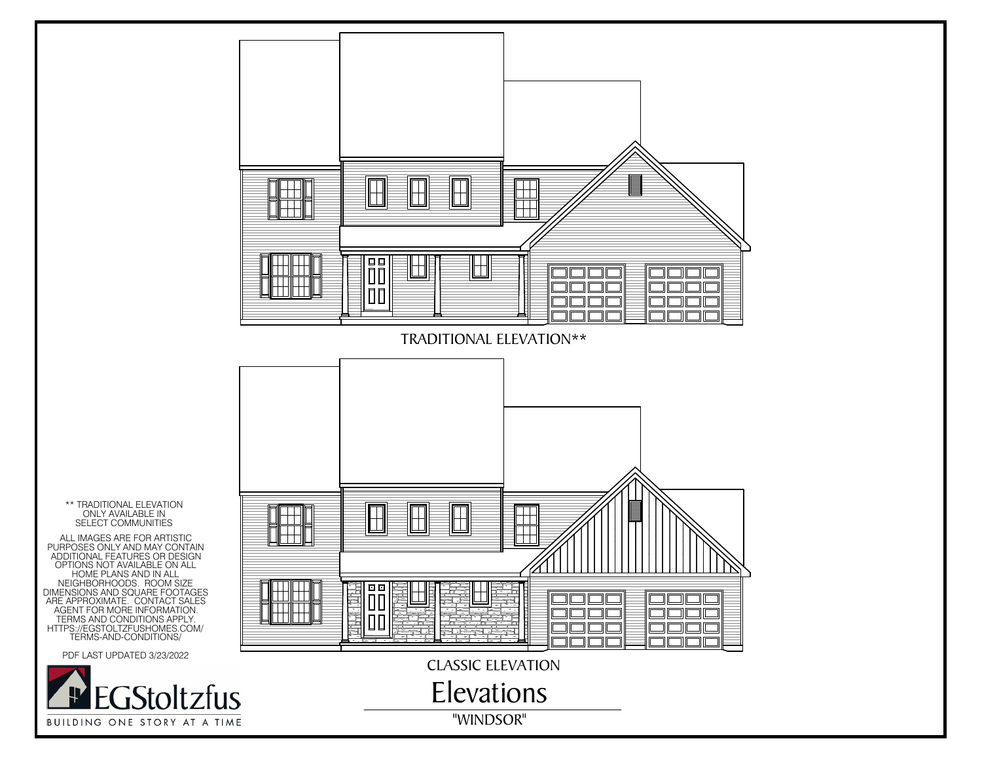![](_page_7_Picture_0.jpeg)

![](_page_7_Picture_4.jpeg)